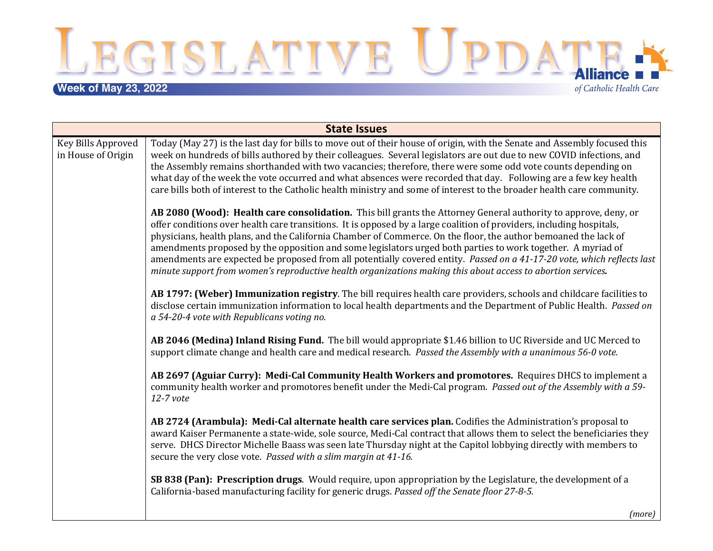**Week of May 23, 2022**<br>
Week of May 23, 2022

of Catholic Health Care

| <b>State Issues</b>                      |                                                                                                                                                                                                                                                                                                                                                                                                                                                                                                                                                                                                                                                                                                                      |  |
|------------------------------------------|----------------------------------------------------------------------------------------------------------------------------------------------------------------------------------------------------------------------------------------------------------------------------------------------------------------------------------------------------------------------------------------------------------------------------------------------------------------------------------------------------------------------------------------------------------------------------------------------------------------------------------------------------------------------------------------------------------------------|--|
| Key Bills Approved<br>in House of Origin | Today (May 27) is the last day for bills to move out of their house of origin, with the Senate and Assembly focused this<br>week on hundreds of bills authored by their colleagues. Several legislators are out due to new COVID infections, and<br>the Assembly remains shorthanded with two vacancies; therefore, there were some odd vote counts depending on<br>what day of the week the vote occurred and what absences were recorded that day. Following are a few key health<br>care bills both of interest to the Catholic health ministry and some of interest to the broader health care community.                                                                                                        |  |
|                                          | AB 2080 (Wood): Health care consolidation. This bill grants the Attorney General authority to approve, deny, or<br>offer conditions over health care transitions. It is opposed by a large coalition of providers, including hospitals,<br>physicians, health plans, and the California Chamber of Commerce. On the floor, the author bemoaned the lack of<br>amendments proposed by the opposition and some legislators urged both parties to work together. A myriad of<br>amendments are expected be proposed from all potentially covered entity. Passed on a 41-17-20 vote, which reflects last<br>minute support from women's reproductive health organizations making this about access to abortion services. |  |
|                                          | AB 1797: (Weber) Immunization registry. The bill requires health care providers, schools and childcare facilities to<br>disclose certain immunization information to local health departments and the Department of Public Health. Passed on<br>a 54-20-4 vote with Republicans voting no.                                                                                                                                                                                                                                                                                                                                                                                                                           |  |
|                                          | AB 2046 (Medina) Inland Rising Fund. The bill would appropriate \$1.46 billion to UC Riverside and UC Merced to<br>support climate change and health care and medical research. Passed the Assembly with a unanimous 56-0 vote.                                                                                                                                                                                                                                                                                                                                                                                                                                                                                      |  |
|                                          | AB 2697 (Aguiar Curry): Medi-Cal Community Health Workers and promotores. Requires DHCS to implement a<br>community health worker and promotores benefit under the Medi-Cal program. Passed out of the Assembly with a 59-<br>12-7 vote                                                                                                                                                                                                                                                                                                                                                                                                                                                                              |  |
|                                          | AB 2724 (Arambula): Medi-Cal alternate health care services plan. Codifies the Administration's proposal to<br>award Kaiser Permanente a state-wide, sole source, Medi-Cal contract that allows them to select the beneficiaries they<br>serve. DHCS Director Michelle Baass was seen late Thursday night at the Capitol lobbying directly with members to<br>secure the very close vote. Passed with a slim margin at 41-16.                                                                                                                                                                                                                                                                                        |  |
|                                          | SB 838 (Pan): Prescription drugs. Would require, upon appropriation by the Legislature, the development of a<br>California-based manufacturing facility for generic drugs. Passed off the Senate floor 27-8-5.                                                                                                                                                                                                                                                                                                                                                                                                                                                                                                       |  |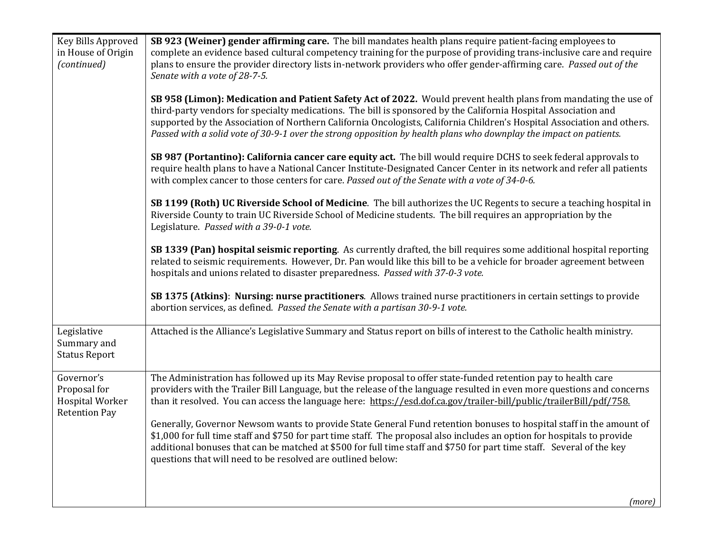| Key Bills Approved<br>in House of Origin<br>(continued)                      | SB 923 (Weiner) gender affirming care. The bill mandates health plans require patient-facing employees to<br>complete an evidence based cultural competency training for the purpose of providing trans-inclusive care and require<br>plans to ensure the provider directory lists in-network providers who offer gender-affirming care. Passed out of the<br>Senate with a vote of 28-7-5.                                                                                         |
|------------------------------------------------------------------------------|-------------------------------------------------------------------------------------------------------------------------------------------------------------------------------------------------------------------------------------------------------------------------------------------------------------------------------------------------------------------------------------------------------------------------------------------------------------------------------------|
|                                                                              | SB 958 (Limon): Medication and Patient Safety Act of 2022. Would prevent health plans from mandating the use of<br>third-party vendors for specialty medications. The bill is sponsored by the California Hospital Association and<br>supported by the Association of Northern California Oncologists, California Children's Hospital Association and others.<br>Passed with a solid vote of 30-9-1 over the strong opposition by health plans who downplay the impact on patients. |
|                                                                              | SB 987 (Portantino): California cancer care equity act. The bill would require DCHS to seek federal approvals to<br>require health plans to have a National Cancer Institute-Designated Cancer Center in its network and refer all patients<br>with complex cancer to those centers for care. Passed out of the Senate with a vote of 34-0-6.                                                                                                                                       |
|                                                                              | SB 1199 (Roth) UC Riverside School of Medicine. The bill authorizes the UC Regents to secure a teaching hospital in<br>Riverside County to train UC Riverside School of Medicine students. The bill requires an appropriation by the<br>Legislature. Passed with a 39-0-1 vote.                                                                                                                                                                                                     |
|                                                                              | SB 1339 (Pan) hospital seismic reporting. As currently drafted, the bill requires some additional hospital reporting<br>related to seismic requirements. However, Dr. Pan would like this bill to be a vehicle for broader agreement between<br>hospitals and unions related to disaster preparedness. Passed with 37-0-3 vote.                                                                                                                                                     |
|                                                                              | SB 1375 (Atkins): Nursing: nurse practitioners. Allows trained nurse practitioners in certain settings to provide<br>abortion services, as defined. Passed the Senate with a partisan 30-9-1 vote.                                                                                                                                                                                                                                                                                  |
| Legislative<br>Summary and<br><b>Status Report</b>                           | Attached is the Alliance's Legislative Summary and Status report on bills of interest to the Catholic health ministry.                                                                                                                                                                                                                                                                                                                                                              |
| Governor's<br>Proposal for<br><b>Hospital Worker</b><br><b>Retention Pay</b> | The Administration has followed up its May Revise proposal to offer state-funded retention pay to health care<br>providers with the Trailer Bill Language, but the release of the language resulted in even more questions and concerns<br>than it resolved. You can access the language here: https://esd.dof.ca.gov/trailer-bill/public/trailerBill/pdf/758.                                                                                                                      |
|                                                                              | Generally, Governor Newsom wants to provide State General Fund retention bonuses to hospital staff in the amount of<br>\$1,000 for full time staff and \$750 for part time staff. The proposal also includes an option for hospitals to provide<br>additional bonuses that can be matched at \$500 for full time staff and \$750 for part time staff. Several of the key<br>questions that will need to be resolved are outlined below:                                             |
|                                                                              |                                                                                                                                                                                                                                                                                                                                                                                                                                                                                     |
|                                                                              | (more)                                                                                                                                                                                                                                                                                                                                                                                                                                                                              |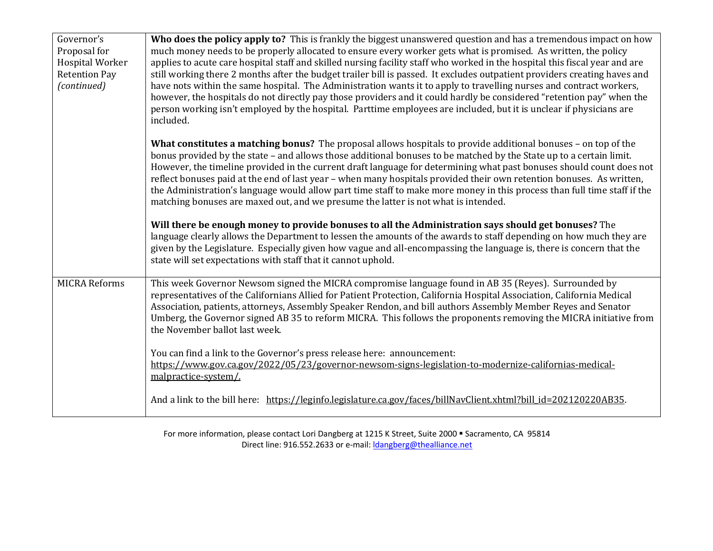| Governor's<br>Proposal for<br><b>Hospital Worker</b><br><b>Retention Pay</b><br>(continued) | Who does the policy apply to? This is frankly the biggest unanswered question and has a tremendous impact on how<br>much money needs to be properly allocated to ensure every worker gets what is promised. As written, the policy<br>applies to acute care hospital staff and skilled nursing facility staff who worked in the hospital this fiscal year and are<br>still working there 2 months after the budget trailer bill is passed. It excludes outpatient providers creating haves and<br>have nots within the same hospital. The Administration wants it to apply to travelling nurses and contract workers,<br>however, the hospitals do not directly pay those providers and it could hardly be considered "retention pay" when the<br>person working isn't employed by the hospital. Parttime employees are included, but it is unclear if physicians are<br>included. |
|---------------------------------------------------------------------------------------------|------------------------------------------------------------------------------------------------------------------------------------------------------------------------------------------------------------------------------------------------------------------------------------------------------------------------------------------------------------------------------------------------------------------------------------------------------------------------------------------------------------------------------------------------------------------------------------------------------------------------------------------------------------------------------------------------------------------------------------------------------------------------------------------------------------------------------------------------------------------------------------|
|                                                                                             | What constitutes a matching bonus? The proposal allows hospitals to provide additional bonuses - on top of the<br>bonus provided by the state - and allows those additional bonuses to be matched by the State up to a certain limit.<br>However, the timeline provided in the current draft language for determining what past bonuses should count does not<br>reflect bonuses paid at the end of last year - when many hospitals provided their own retention bonuses. As written,<br>the Administration's language would allow part time staff to make more money in this process than full time staff if the<br>matching bonuses are maxed out, and we presume the latter is not what is intended.                                                                                                                                                                            |
|                                                                                             | Will there be enough money to provide bonuses to all the Administration says should get bonuses? The<br>language clearly allows the Department to lessen the amounts of the awards to staff depending on how much they are<br>given by the Legislature. Especially given how vague and all-encompassing the language is, there is concern that the<br>state will set expectations with staff that it cannot uphold.                                                                                                                                                                                                                                                                                                                                                                                                                                                                |
| <b>MICRA Reforms</b>                                                                        | This week Governor Newsom signed the MICRA compromise language found in AB 35 (Reyes). Surrounded by<br>representatives of the Californians Allied for Patient Protection, California Hospital Association, California Medical<br>Association, patients, attorneys, Assembly Speaker Rendon, and bill authors Assembly Member Reyes and Senator<br>Umberg, the Governor signed AB 35 to reform MICRA. This follows the proponents removing the MICRA initiative from<br>the November ballot last week.                                                                                                                                                                                                                                                                                                                                                                             |
|                                                                                             | You can find a link to the Governor's press release here: announcement:<br>https://www.gov.ca.gov/2022/05/23/governor-newsom-signs-legislation-to-modernize-californias-medical-<br>malpractice-system/.                                                                                                                                                                                                                                                                                                                                                                                                                                                                                                                                                                                                                                                                           |
|                                                                                             | And a link to the bill here: https://leginfo.legislature.ca.gov/faces/billNavClient.xhtml?bill id=202120220AB35.                                                                                                                                                                                                                                                                                                                                                                                                                                                                                                                                                                                                                                                                                                                                                                   |

For more information, please contact Lori Dangberg at 1215 K Street, Suite 2000 · Sacramento, CA 95814 Direct line: 916.552.2633 or e-mail: *dangberg@thealliance.net*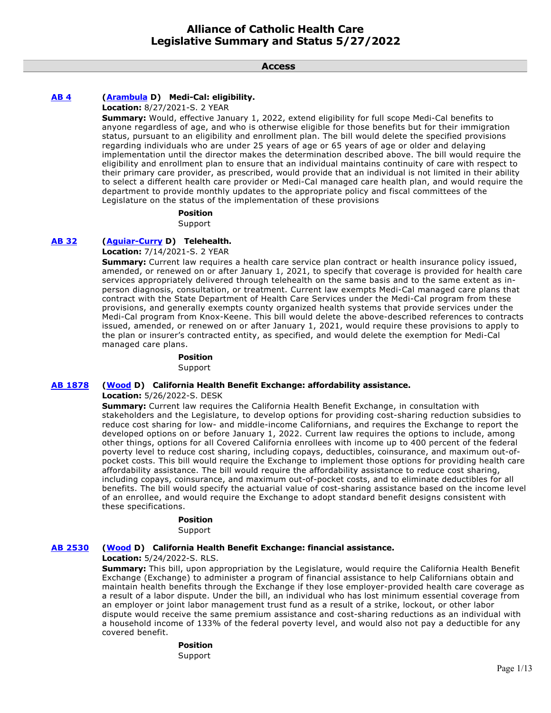**Access**

### **[AB 4](https://ctweb.capitoltrack.com/public/publishbillinfo.aspx?bi=KFYvdnrQA6jwmrfrltwrGrrFnSkRokeQ%2FM0ZywFJQAneFJv%2BL9bnd1kPGDvpRuAa) [\(Arambula](https://a31.asmdc.org/) D) Medi-Cal: eligibility.**

**Location:** 8/27/2021-S. 2 YEAR

**Summary:** Would, effective January 1, 2022, extend eligibility for full scope Medi-Cal benefits to anyone regardless of age, and who is otherwise eligible for those benefits but for their immigration status, pursuant to an eligibility and enrollment plan. The bill would delete the specified provisions regarding individuals who are under 25 years of age or 65 years of age or older and delaying implementation until the director makes the determination described above. The bill would require the eligibility and enrollment plan to ensure that an individual maintains continuity of care with respect to their primary care provider, as prescribed, would provide that an individual is not limited in their ability to select a different health care provider or Medi-Cal managed care health plan, and would require the department to provide monthly updates to the appropriate policy and fiscal committees of the Legislature on the status of the implementation of these provisions

#### **Position**

Support

### **[AB 32](https://ctweb.capitoltrack.com/public/publishbillinfo.aspx?bi=0t9Iy%2FDTsh3uhPPaP7nN4QGwXxcrKJaSU%2FCFlMIgdjHlVpWBWWvl7svuvkAHFERM) [\(Aguiar-Curry](https://a04.asmdc.org/) D) Telehealth.**

**Location:** 7/14/2021-S. 2 YEAR

**Summary:** Current law requires a health care service plan contract or health insurance policy issued, amended, or renewed on or after January 1, 2021, to specify that coverage is provided for health care services appropriately delivered through telehealth on the same basis and to the same extent as inperson diagnosis, consultation, or treatment. Current law exempts Medi-Cal managed care plans that contract with the State Department of Health Care Services under the Medi-Cal program from these provisions, and generally exempts county organized health systems that provide services under the Medi-Cal program from Knox-Keene. This bill would delete the above-described references to contracts issued, amended, or renewed on or after January 1, 2021, would require these provisions to apply to the plan or insurer's contracted entity, as specified, and would delete the exemption for Medi-Cal managed care plans.

# **Position**

Support

### **[AB 1878](https://ctweb.capitoltrack.com/public/publishbillinfo.aspx?bi=GAMwRI5IoJT9WrHL5n%2Bkp8Pl3Ngx9zMETe4nirjfzmmf5Z9HlGltw8x1zpAGdnog) [\(Wood](https://a02.asmdc.org/) D) California Health Benefit Exchange: affordability assistance.**

**Location:** 5/26/2022-S. DESK

**Summary:** Current law requires the California Health Benefit Exchange, in consultation with stakeholders and the Legislature, to develop options for providing cost-sharing reduction subsidies to reduce cost sharing for low- and middle-income Californians, and requires the Exchange to report the developed options on or before January 1, 2022. Current law requires the options to include, among other things, options for all Covered California enrollees with income up to 400 percent of the federal poverty level to reduce cost sharing, including copays, deductibles, coinsurance, and maximum out-ofpocket costs. This bill would require the Exchange to implement those options for providing health care affordability assistance. The bill would require the affordability assistance to reduce cost sharing, including copays, coinsurance, and maximum out-of-pocket costs, and to eliminate deductibles for all benefits. The bill would specify the actuarial value of cost-sharing assistance based on the income level of an enrollee, and would require the Exchange to adopt standard benefit designs consistent with these specifications.

### **Position**

Support

### **[AB 2530](https://ctweb.capitoltrack.com/public/publishbillinfo.aspx?bi=VZsIuBPqenTBa%2FAc3wVOCMIwATlWsmbaNDO%2FSiWq%2FJG9imXKa8XljxIk1SGFNkvV) [\(Wood](https://a02.asmdc.org/) D) California Health Benefit Exchange: financial assistance.**

**Location:** 5/24/2022-S. RLS.

**Summary:** This bill, upon appropriation by the Legislature, would require the California Health Benefit Exchange (Exchange) to administer a program of financial assistance to help Californians obtain and maintain health benefits through the Exchange if they lose employer-provided health care coverage as a result of a labor dispute. Under the bill, an individual who has lost minimum essential coverage from an employer or joint labor management trust fund as a result of a strike, lockout, or other labor dispute would receive the same premium assistance and cost-sharing reductions as an individual with a household income of 133% of the federal poverty level, and would also not pay a deductible for any covered benefit.

### **Position**

Support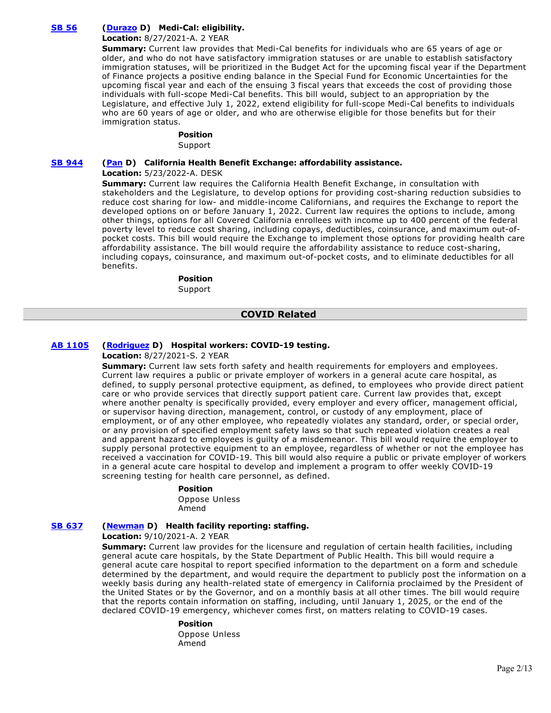# **[SB 56](https://ctweb.capitoltrack.com/public/publishbillinfo.aspx?bi=IHVUG%2FNRNIfXwOxiI9YqyDGCwMPVuHR9m0HdI%2BzVhapXlwnjfJdZucyWxXUdHS%2Fj) [\(Durazo](http://sd24.senate.ca.gov/) D) Medi-Cal: eligibility.**

### **Location:** 8/27/2021-A. 2 YEAR

**Summary:** Current law provides that Medi-Cal benefits for individuals who are 65 years of age or older, and who do not have satisfactory immigration statuses or are unable to establish satisfactory immigration statuses, will be prioritized in the Budget Act for the upcoming fiscal year if the Department of Finance projects a positive ending balance in the Special Fund for Economic Uncertainties for the upcoming fiscal year and each of the ensuing 3 fiscal years that exceeds the cost of providing those individuals with full-scope Medi-Cal benefits. This bill would, subject to an appropriation by the Legislature, and effective July 1, 2022, extend eligibility for full-scope Medi-Cal benefits to individuals who are 60 years of age or older, and who are otherwise eligible for those benefits but for their immigration status.

#### **Position**

Support

### **[SB 944](https://ctweb.capitoltrack.com/public/publishbillinfo.aspx?bi=%2FzsZ5QTVs4wbwvbps%2Bp9YvPLd%2FwNRw0N4vUPcLf3yiJKWQ2NrzEMrMKckOYf9OuF) [\(Pan](http://sd06.senate.ca.gov/) D) California Health Benefit Exchange: affordability assistance.**

### **Location:** 5/23/2022-A. DESK

**Summary:** Current law requires the California Health Benefit Exchange, in consultation with stakeholders and the Legislature, to develop options for providing cost-sharing reduction subsidies to reduce cost sharing for low- and middle-income Californians, and requires the Exchange to report the developed options on or before January 1, 2022. Current law requires the options to include, among other things, options for all Covered California enrollees with income up to 400 percent of the federal poverty level to reduce cost sharing, including copays, deductibles, coinsurance, and maximum out-ofpocket costs. This bill would require the Exchange to implement those options for providing health care affordability assistance. The bill would require the affordability assistance to reduce cost-sharing, including copays, coinsurance, and maximum out-of-pocket costs, and to eliminate deductibles for all benefits.

#### **Position**

Support

### **COVID Related**

### **[AB 1105](https://ctweb.capitoltrack.com/public/publishbillinfo.aspx?bi=hiMHI%2FFzRHqLRQcFntn%2B%2FNvArtAVnjMKOUrA1hSavVJ64vRkYFefMgHJl1S1m5oV) [\(Rodriguez](https://a52.asmdc.org/) D) Hospital workers: COVID-19 testing.**

### **Location:** 8/27/2021-S. 2 YEAR

**Summary:** Current law sets forth safety and health requirements for employers and employees. Current law requires a public or private employer of workers in a general acute care hospital, as defined, to supply personal protective equipment, as defined, to employees who provide direct patient care or who provide services that directly support patient care. Current law provides that, except where another penalty is specifically provided, every employer and every officer, management official, or supervisor having direction, management, control, or custody of any employment, place of employment, or of any other employee, who repeatedly violates any standard, order, or special order, or any provision of specified employment safety laws so that such repeated violation creates a real and apparent hazard to employees is guilty of a misdemeanor. This bill would require the employer to supply personal protective equipment to an employee, regardless of whether or not the employee has received a vaccination for COVID-19. This bill would also require a public or private employer of workers in a general acute care hospital to develop and implement a program to offer weekly COVID-19 screening testing for health care personnel, as defined.

### **Position**

Oppose Unless Amend

### **[SB 637](https://ctweb.capitoltrack.com/public/publishbillinfo.aspx?bi=jty8Oh9%2FB4LwUwfxVBDg2GE8TVcQ8Dq2QDUBofHA3ZtTvmLyiZ6pbei5GkqYnutQ) [\(Newman](https://sd29.senate.ca.gov/) D) Health facility reporting: staffing.**

**Location:** 9/10/2021-A. 2 YEAR

**Summary:** Current law provides for the licensure and regulation of certain health facilities, including general acute care hospitals, by the State Department of Public Health. This bill would require a general acute care hospital to report specified information to the department on a form and schedule determined by the department, and would require the department to publicly post the information on a weekly basis during any health-related state of emergency in California proclaimed by the President of the United States or by the Governor, and on a monthly basis at all other times. The bill would require that the reports contain information on staffing, including, until January 1, 2025, or the end of the declared COVID-19 emergency, whichever comes first, on matters relating to COVID-19 cases.

#### **Position**

Oppose Unless Amend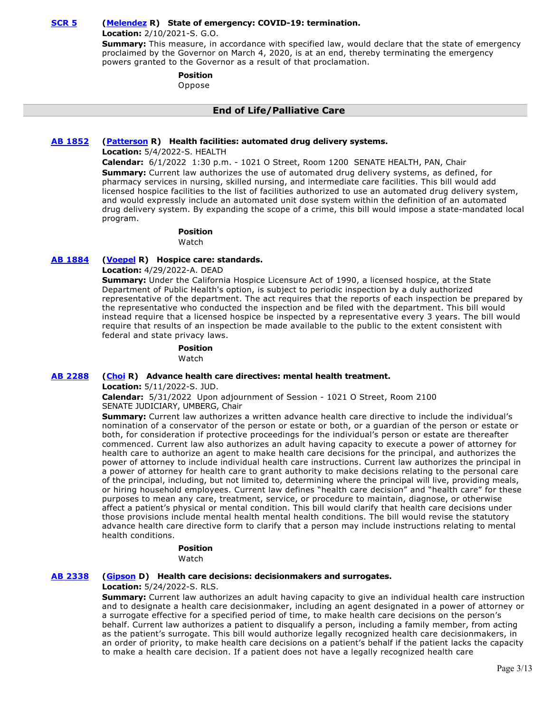### **[SCR 5](https://ctweb.capitoltrack.com/public/publishbillinfo.aspx?bi=IMfPvUiYd0qCpRDZUfOVkqwZNifCTtQ13I8EmZrXomV1qwaF0ol9OuqJ5Gl4ooe%2B) [\(Melendez](https://melendez.cssrc.us/) R) State of emergency: COVID-19: termination.**

**Location:** 2/10/2021-S. G.O.

**Summary:** This measure, in accordance with specified law, would declare that the state of emergency proclaimed by the Governor on March 4, 2020, is at an end, thereby terminating the emergency powers granted to the Governor as a result of that proclamation.

### **Position**

Oppose

### **End of Life/Palliative Care**

### **[AB 1852](https://ctweb.capitoltrack.com/public/publishbillinfo.aspx?bi=qualm%2FeNgpyo4JVNTWrO8T9CvcoE02PfTRNruTZu1vEziksjmt5ztJjoFdLRH3zD) [\(Patterson](https://ad23.asmrc.org/) R) Health facilities: automated drug delivery systems.**

**Location:** 5/4/2022-S. HEALTH

**Calendar:** 6/1/2022 1:30 p.m. - 1021 O Street, Room 1200 SENATE HEALTH, PAN, Chair **Summary:** Current law authorizes the use of automated drug delivery systems, as defined, for pharmacy services in nursing, skilled nursing, and intermediate care facilities. This bill would add licensed hospice facilities to the list of facilities authorized to use an automated drug delivery system, and would expressly include an automated unit dose system within the definition of an automated drug delivery system. By expanding the scope of a crime, this bill would impose a state-mandated local program.

#### **Position**

Watch

### **[AB 1884](https://ctweb.capitoltrack.com/public/publishbillinfo.aspx?bi=IRLO150F09HcamdyQq8Vzgs7nh9ItrD2BG5rwHgbqALAzqanM1W2rX%2BmFPkhPUMr) [\(Voepel](https://ad71.asmrc.org/) R) Hospice care: standards.**

**Location:** 4/29/2022-A. DEAD

**Summary:** Under the California Hospice Licensure Act of 1990, a licensed hospice, at the State Department of Public Health's option, is subject to periodic inspection by a duly authorized representative of the department. The act requires that the reports of each inspection be prepared by the representative who conducted the inspection and be filed with the department. This bill would instead require that a licensed hospice be inspected by a representative every 3 years. The bill would require that results of an inspection be made available to the public to the extent consistent with federal and state privacy laws.

#### **Position**

Watch

#### **[AB 2288](https://ctweb.capitoltrack.com/public/publishbillinfo.aspx?bi=8c%2FVel10Jx83p5eIMZPHKV8DGDS1Sz6uWw6AVtQYGCxcUPvvWBLXATEKpde3pwAP) [\(Choi](https://ad68.asmrc.org/) R) Advance health care directives: mental health treatment.**

**Location:** 5/11/2022-S. JUD.

**Calendar:** 5/31/2022 Upon adjournment of Session - 1021 O Street, Room 2100 SENATE JUDICIARY, UMBERG, Chair

**Summary:** Current law authorizes a written advance health care directive to include the individual's nomination of a conservator of the person or estate or both, or a guardian of the person or estate or both, for consideration if protective proceedings for the individual's person or estate are thereafter commenced. Current law also authorizes an adult having capacity to execute a power of attorney for health care to authorize an agent to make health care decisions for the principal, and authorizes the power of attorney to include individual health care instructions. Current law authorizes the principal in a power of attorney for health care to grant authority to make decisions relating to the personal care of the principal, including, but not limited to, determining where the principal will live, providing meals, or hiring household employees. Current law defines "health care decision" and "health care" for these purposes to mean any care, treatment, service, or procedure to maintain, diagnose, or otherwise affect a patient's physical or mental condition. This bill would clarify that health care decisions under those provisions include mental health mental health conditions. The bill would revise the statutory advance health care directive form to clarify that a person may include instructions relating to mental health conditions.

# **Position**

Watch

#### **[AB 2338](https://ctweb.capitoltrack.com/public/publishbillinfo.aspx?bi=Ub8m8V4g1oocGgpChFB9sihH%2FmaIwllM7ISC2afdUyBBvuf4PvZaAQlpFci1laP1) [\(Gipson](https://a64.asmdc.org/) D) Health care decisions: decisionmakers and surrogates.**

#### **Location:** 5/24/2022-S. RLS.

**Summary:** Current law authorizes an adult having capacity to give an individual health care instruction and to designate a health care decisionmaker, including an agent designated in a power of attorney or a surrogate effective for a specified period of time, to make health care decisions on the person's behalf. Current law authorizes a patient to disqualify a person, including a family member, from acting as the patient's surrogate. This bill would authorize legally recognized health care decisionmakers, in an order of priority, to make health care decisions on a patient's behalf if the patient lacks the capacity to make a health care decision. If a patient does not have a legally recognized health care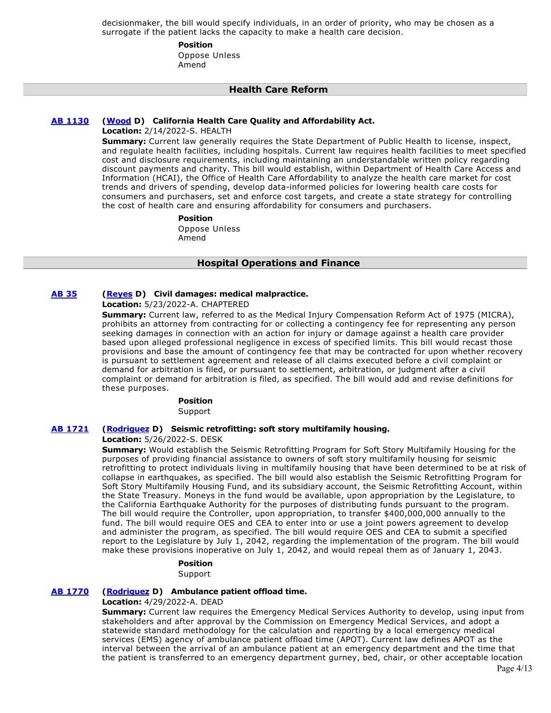decisionmaker, the bill would specify individuals, in an order of priority, who may be chosen as a surrogate if the patient lacks the capacity to make a health care decision.

> **Position**  Oppose Unless

Amend

 **Health Care Reform**

#### **[AB 1130](https://ctweb.capitoltrack.com/public/publishbillinfo.aspx?bi=%2F4z9i3w3Ci6H9IC%2FhaF12B%2FZNVr8Dnz3doTjoBJ49C99Q647aqTNngzgXS1VHZrx) [\(Wood](https://a02.asmdc.org/) D) California Health Care Quality and Affordability Act.**

**Location:** 2/14/2022-S. HEALTH

**Summary:** Current law generally requires the State Department of Public Health to license, inspect, and regulate health facilities, including hospitals. Current law requires health facilities to meet specified cost and disclosure requirements, including maintaining an understandable written policy regarding discount payments and charity. This bill would establish, within Department of Health Care Access and Information (HCAI), the Office of Health Care Affordability to analyze the health care market for cost trends and drivers of spending, develop data-informed policies for lowering health care costs for consumers and purchasers, set and enforce cost targets, and create a state strategy for controlling the cost of health care and ensuring affordability for consumers and purchasers.

> **Position**  Oppose Unless Amend

### **Hospital Operations and Finance**

# **[AB 35](https://ctweb.capitoltrack.com/public/publishbillinfo.aspx?bi=7Y0gKL9VlIU7ThSmQw%2FYv1jbhBJT%2FD8SYj2%2F91VOlPOLXgPlhuYR%2ByClgxoYCP8R) [\(Reyes](https://a47.asmdc.org/) D) Civil damages: medical malpractice.**

**Location:** 5/23/2022-A. CHAPTERED

**Summary:** Current law, referred to as the Medical Injury Compensation Reform Act of 1975 (MICRA), prohibits an attorney from contracting for or collecting a contingency fee for representing any person seeking damages in connection with an action for injury or damage against a health care provider based upon alleged professional negligence in excess of specified limits. This bill would recast those provisions and base the amount of contingency fee that may be contracted for upon whether recovery is pursuant to settlement agreement and release of all claims executed before a civil complaint or demand for arbitration is filed, or pursuant to settlement, arbitration, or judgment after a civil complaint or demand for arbitration is filed, as specified. The bill would add and revise definitions for these purposes.

#### **Position**

Support

### **[AB 1721](https://ctweb.capitoltrack.com/public/publishbillinfo.aspx?bi=2DXSbYZ%2FPT33bNVVbh0xFVpPg4qFn9Sf58vg1MaGfor56R%2BLQd6Ry%2FZHhRFU0o0T) [\(Rodriguez](https://a52.asmdc.org/) D) Seismic retrofitting: soft story multifamily housing.**

#### **Location:** 5/26/2022-S. DESK

**Summary:** Would establish the Seismic Retrofitting Program for Soft Story Multifamily Housing for the purposes of providing financial assistance to owners of soft story multifamily housing for seismic retrofitting to protect individuals living in multifamily housing that have been determined to be at risk of collapse in earthquakes, as specified. The bill would also establish the Seismic Retrofitting Program for Soft Story Multifamily Housing Fund, and its subsidiary account, the Seismic Retrofitting Account, within the State Treasury. Moneys in the fund would be available, upon appropriation by the Legislature, to the California Earthquake Authority for the purposes of distributing funds pursuant to the program. The bill would require the Controller, upon appropriation, to transfer \$400,000,000 annually to the fund. The bill would require OES and CEA to enter into or use a joint powers agreement to develop and administer the program, as specified. The bill would require OES and CEA to submit a specified report to the Legislature by July 1, 2042, regarding the implementation of the program. The bill would make these provisions inoperative on July 1, 2042, and would repeal them as of January 1, 2043.

# **Position**

Support

#### **[AB 1770](https://ctweb.capitoltrack.com/public/publishbillinfo.aspx?bi=XaWwKp6vCvEZ12HaJ6ASnMC6ejVZZzMJbXQM9xrTDsAmydW8yIU2WZ1CZM4uH35Y) [\(Rodriguez](https://a52.asmdc.org/) D) Ambulance patient offload time.**

**Location:** 4/29/2022-A. DEAD

**Summary:** Current law requires the Emergency Medical Services Authority to develop, using input from stakeholders and after approval by the Commission on Emergency Medical Services, and adopt a statewide standard methodology for the calculation and reporting by a local emergency medical services (EMS) agency of ambulance patient offload time (APOT). Current law defines APOT as the interval between the arrival of an ambulance patient at an emergency department and the time that the patient is transferred to an emergency department gurney, bed, chair, or other acceptable location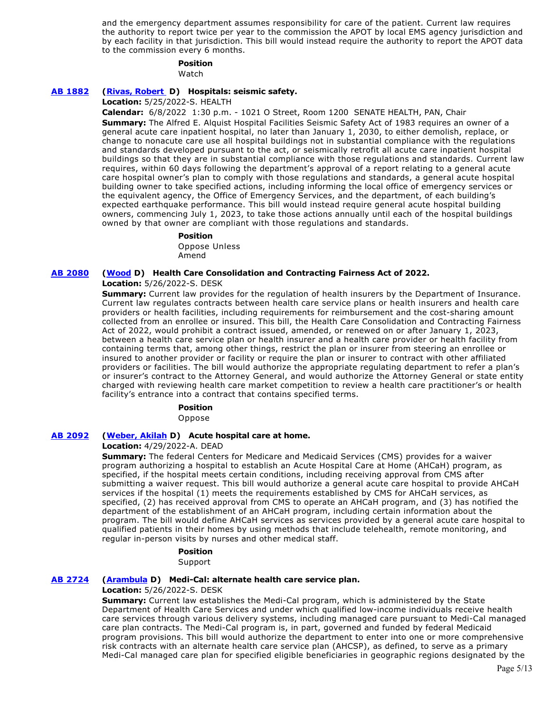and the emergency department assumes responsibility for care of the patient. Current law requires the authority to report twice per year to the commission the APOT by local EMS agency jurisdiction and by each facility in that jurisdiction. This bill would instead require the authority to report the APOT data to the commission every 6 months.

#### **Position**

Watch

### **[AB 1882](https://ctweb.capitoltrack.com/public/publishbillinfo.aspx?bi=VPXAvDj9pG%2FqwduV4rLG761q0j5l7nLqcVa9%2FuXBzFKRhN9Jnm5qbtXyicq%2B7zSQ) [\(Rivas, Robert](https://a30.asmdc.org/)  D) Hospitals: seismic safety.**

**Location:** 5/25/2022-S. HEALTH

**Calendar:** 6/8/2022 1:30 p.m. - 1021 O Street, Room 1200 SENATE HEALTH, PAN, Chair **Summary:** The Alfred E. Alquist Hospital Facilities Seismic Safety Act of 1983 requires an owner of a general acute care inpatient hospital, no later than January 1, 2030, to either demolish, replace, or change to nonacute care use all hospital buildings not in substantial compliance with the regulations and standards developed pursuant to the act, or seismically retrofit all acute care inpatient hospital buildings so that they are in substantial compliance with those regulations and standards. Current law requires, within 60 days following the department's approval of a report relating to a general acute care hospital owner's plan to comply with those regulations and standards, a general acute hospital building owner to take specified actions, including informing the local office of emergency services or the equivalent agency, the Office of Emergency Services, and the department, of each building's expected earthquake performance. This bill would instead require general acute hospital building owners, commencing July 1, 2023, to take those actions annually until each of the hospital buildings owned by that owner are compliant with those regulations and standards.

#### **Position**

Oppose Unless Amend

#### **[AB 2080](https://ctweb.capitoltrack.com/public/publishbillinfo.aspx?bi=BrMjSa%2Fp%2B1el0x0mo99xnVN%2F4Zn67hWfXnFDoLyihAQ6jctZGFDaEIKaaRhMBJoG) [\(Wood](https://a02.asmdc.org/) D) Health Care Consolidation and Contracting Fairness Act of 2022.**

**Location:** 5/26/2022-S. DESK

**Summary:** Current law provides for the regulation of health insurers by the Department of Insurance. Current law regulates contracts between health care service plans or health insurers and health care providers or health facilities, including requirements for reimbursement and the cost-sharing amount collected from an enrollee or insured. This bill, the Health Care Consolidation and Contracting Fairness Act of 2022, would prohibit a contract issued, amended, or renewed on or after January 1, 2023, between a health care service plan or health insurer and a health care provider or health facility from containing terms that, among other things, restrict the plan or insurer from steering an enrollee or insured to another provider or facility or require the plan or insurer to contract with other affiliated providers or facilities. The bill would authorize the appropriate regulating department to refer a plan's or insurer's contract to the Attorney General, and would authorize the Attorney General or state entity charged with reviewing health care market competition to review a health care practitioner's or health facility's entrance into a contract that contains specified terms.

#### **Position**

Oppose

### **[AB 2092](https://ctweb.capitoltrack.com/public/publishbillinfo.aspx?bi=TKMkEJtbutzzyr%2ByT%2Bv4P45j%2BAilM0MXEXRwQF119YNhqJLmja3bRhs3ka1s57Wk) [\(Weber, Akilah](https://a79.asmdc.org/) D) Acute hospital care at home.**

#### **Location:** 4/29/2022-A. DEAD

**Summary:** The federal Centers for Medicare and Medicaid Services (CMS) provides for a waiver program authorizing a hospital to establish an Acute Hospital Care at Home (AHCaH) program, as specified, if the hospital meets certain conditions, including receiving approval from CMS after submitting a waiver request. This bill would authorize a general acute care hospital to provide AHCaH services if the hospital (1) meets the requirements established by CMS for AHCaH services, as specified, (2) has received approval from CMS to operate an AHCaH program, and (3) has notified the department of the establishment of an AHCaH program, including certain information about the program. The bill would define AHCaH services as services provided by a general acute care hospital to qualified patients in their homes by using methods that include telehealth, remote monitoring, and regular in-person visits by nurses and other medical staff.

#### **Position**

Support

### **[AB 2724](https://ctweb.capitoltrack.com/public/publishbillinfo.aspx?bi=87zZT%2BgcOhFNBkX00iCCDlRJesDpMdThi05DVxph1WMjt4wiQHTVchVtgdOI00s5) [\(Arambula](https://a31.asmdc.org/) D) Medi-Cal: alternate health care service plan.**

#### **Location:** 5/26/2022-S. DESK

**Summary:** Current law establishes the Medi-Cal program, which is administered by the State Department of Health Care Services and under which qualified low-income individuals receive health care services through various delivery systems, including managed care pursuant to Medi-Cal managed care plan contracts. The Medi-Cal program is, in part, governed and funded by federal Medicaid program provisions. This bill would authorize the department to enter into one or more comprehensive risk contracts with an alternate health care service plan (AHCSP), as defined, to serve as a primary Medi-Cal managed care plan for specified eligible beneficiaries in geographic regions designated by the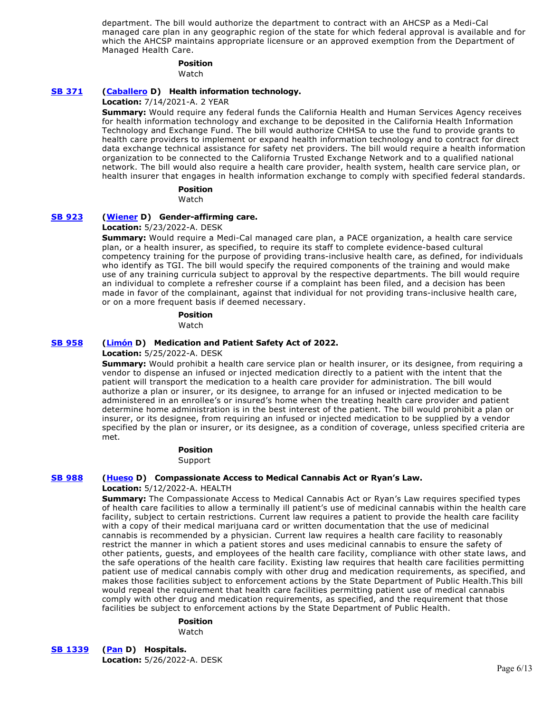department. The bill would authorize the department to contract with an AHCSP as a Medi-Cal managed care plan in any geographic region of the state for which federal approval is available and for which the AHCSP maintains appropriate licensure or an approved exemption from the Department of Managed Health Care.

#### **Position**

Watch

#### **[SB 371](https://ctweb.capitoltrack.com/public/publishbillinfo.aspx?bi=FKwFW94dXa0YDM7%2FpE%2Fd%2FQvILqz%2BYUfpxz%2FPoEZWfSJmws%2Fn2%2F58%2B%2BM0%2BQkCCvcS) [\(Caballero](https://sd12.senate.ca.gov/) D) Health information technology.**

#### **Location:** 7/14/2021-A. 2 YEAR

**Summary:** Would require any federal funds the California Health and Human Services Agency receives for health information technology and exchange to be deposited in the California Health Information Technology and Exchange Fund. The bill would authorize CHHSA to use the fund to provide grants to health care providers to implement or expand health information technology and to contract for direct data exchange technical assistance for safety net providers. The bill would require a health information organization to be connected to the California Trusted Exchange Network and to a qualified national network. The bill would also require a health care provider, health system, health care service plan, or health insurer that engages in health information exchange to comply with specified federal standards.

#### **Position**

Watch

#### **[SB 923](https://ctweb.capitoltrack.com/public/publishbillinfo.aspx?bi=39pazsEbiOuX5VLjSaWCmTpAMGWuE9SkxQBy5CHsmAeEKA46%2B7M3zeKfcJ1Ac4e6) [\(Wiener](http://sd11.senate.ca.gov/) D) Gender-affirming care.**

#### **Location:** 5/23/2022-A. DESK

**Summary:** Would require a Medi-Cal managed care plan, a PACE organization, a health care service plan, or a health insurer, as specified, to require its staff to complete evidence-based cultural competency training for the purpose of providing trans-inclusive health care, as defined, for individuals who identify as TGI. The bill would specify the required components of the training and would make use of any training curricula subject to approval by the respective departments. The bill would require an individual to complete a refresher course if a complaint has been filed, and a decision has been made in favor of the complainant, against that individual for not providing trans-inclusive health care, or on a more frequent basis if deemed necessary.

#### **Position**

Watch

#### **[SB 958](https://ctweb.capitoltrack.com/public/publishbillinfo.aspx?bi=TmxQzrW7K42F5U7topB%2Fsd6BFt9G9v5WzRLRsZkfrXtFhSBM%2BYWUSmRBcBAbfmA2) [\(Limón](http://sd19.senate.ca.gov/) D) Medication and Patient Safety Act of 2022.**

#### **Location:** 5/25/2022-A. DESK

**Summary:** Would prohibit a health care service plan or health insurer, or its designee, from requiring a vendor to dispense an infused or injected medication directly to a patient with the intent that the patient will transport the medication to a health care provider for administration. The bill would authorize a plan or insurer, or its designee, to arrange for an infused or injected medication to be administered in an enrollee's or insured's home when the treating health care provider and patient determine home administration is in the best interest of the patient. The bill would prohibit a plan or insurer, or its designee, from requiring an infused or injected medication to be supplied by a vendor specified by the plan or insurer, or its designee, as a condition of coverage, unless specified criteria are met.

### **Position**

Support

#### **[SB 988](https://ctweb.capitoltrack.com/public/publishbillinfo.aspx?bi=F7CG%2BT%2BNdNyOJ507U6RjjvW7rDsASagLmcuZ64LyFVUAHXbTn9BlVmjyYTgF1QL6) [\(Hueso](http://sd40.senate.ca.gov/) D) Compassionate Access to Medical Cannabis Act or Ryan's Law.**

#### **Location:** 5/12/2022-A. HEALTH

**Summary:** The Compassionate Access to Medical Cannabis Act or Ryan's Law requires specified types of health care facilities to allow a terminally ill patient's use of medicinal cannabis within the health care facility, subject to certain restrictions. Current law requires a patient to provide the health care facility with a copy of their medical marijuana card or written documentation that the use of medicinal cannabis is recommended by a physician. Current law requires a health care facility to reasonably restrict the manner in which a patient stores and uses medicinal cannabis to ensure the safety of other patients, guests, and employees of the health care facility, compliance with other state laws, and the safe operations of the health care facility. Existing law requires that health care facilities permitting patient use of medical cannabis comply with other drug and medication requirements, as specified, and makes those facilities subject to enforcement actions by the State Department of Public Health.This bill would repeal the requirement that health care facilities permitting patient use of medical cannabis comply with other drug and medication requirements, as specified, and the requirement that those facilities be subject to enforcement actions by the State Department of Public Health.

#### **Position**

Watch

**[SB 1339](https://ctweb.capitoltrack.com/public/publishbillinfo.aspx?bi=M4%2FWAIBkDIxPIq%2B4Pg%2BH9mCLP0SUdmtN3OsXIg1YITaIdGmpiRHbPWtnSe35fDxi) [\(Pan](http://sd06.senate.ca.gov/) D) Hospitals. Location:** 5/26/2022-A. DESK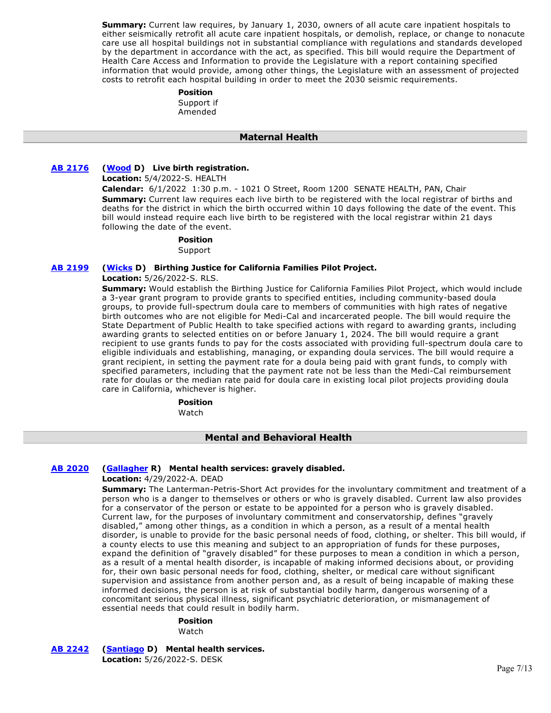**Summary:** Current law requires, by January 1, 2030, owners of all acute care inpatient hospitals to either seismically retrofit all acute care inpatient hospitals, or demolish, replace, or change to nonacute care use all hospital buildings not in substantial compliance with regulations and standards developed by the department in accordance with the act, as specified. This bill would require the Department of Health Care Access and Information to provide the Legislature with a report containing specified information that would provide, among other things, the Legislature with an assessment of projected costs to retrofit each hospital building in order to meet the 2030 seismic requirements.

#### **Position**

Support if Amended

### **Maternal Health**

### **[AB 2176](https://ctweb.capitoltrack.com/public/publishbillinfo.aspx?bi=HR5stFFQM15tK2ecm1FQBtQ2R9yfZG%2F%2FxuYPRWUzWzI3lF7e%2FBS%2FdDYhYzD3Z1Jp) [\(Wood](https://a02.asmdc.org/) D) Live birth registration.**

**Location:** 5/4/2022-S. HEALTH

**Calendar:** 6/1/2022 1:30 p.m. - 1021 O Street, Room 1200 SENATE HEALTH, PAN, Chair **Summary:** Current law requires each live birth to be registered with the local registrar of births and deaths for the district in which the birth occurred within 10 days following the date of the event. This bill would instead require each live birth to be registered with the local registrar within 21 days following the date of the event.

**Position** 

Support

#### **[AB 2199](https://ctweb.capitoltrack.com/public/publishbillinfo.aspx?bi=B97llTW33MVSMinNtoGET%2Fw1JtFyrvCEcXQnAzzfEb%2B%2BbT%2B%2BVjbwDDHRNwo4DirP) [\(Wicks](https://a15.asmdc.org/) D) Birthing Justice for California Families Pilot Project.**

**Location:** 5/26/2022-S. RLS.

**Summary:** Would establish the Birthing Justice for California Families Pilot Project, which would include a 3-year grant program to provide grants to specified entities, including community-based doula groups, to provide full-spectrum doula care to members of communities with high rates of negative birth outcomes who are not eligible for Medi-Cal and incarcerated people. The bill would require the State Department of Public Health to take specified actions with regard to awarding grants, including awarding grants to selected entities on or before January 1, 2024. The bill would require a grant recipient to use grants funds to pay for the costs associated with providing full-spectrum doula care to eligible individuals and establishing, managing, or expanding doula services. The bill would require a grant recipient, in setting the payment rate for a doula being paid with grant funds, to comply with specified parameters, including that the payment rate not be less than the Medi-Cal reimbursement rate for doulas or the median rate paid for doula care in existing local pilot projects providing doula care in California, whichever is higher.

**Position** 

Watch

### **Mental and Behavioral Health**

### **[AB 2020](https://ctweb.capitoltrack.com/public/publishbillinfo.aspx?bi=tS0WXa6hk%2Fc9UYHKryiX1wE7IUFxx7OxylcghZMJ%2BRIrueMd8SBj9OfzN6y3RCul) [\(Gallagher](http://ad03.asmrc.org/) R) Mental health services: gravely disabled.**

#### **Location:** 4/29/2022-A. DEAD

**Summary:** The Lanterman-Petris-Short Act provides for the involuntary commitment and treatment of a person who is a danger to themselves or others or who is gravely disabled. Current law also provides for a conservator of the person or estate to be appointed for a person who is gravely disabled. Current law, for the purposes of involuntary commitment and conservatorship, defines "gravely disabled," among other things, as a condition in which a person, as a result of a mental health disorder, is unable to provide for the basic personal needs of food, clothing, or shelter. This bill would, if a county elects to use this meaning and subject to an appropriation of funds for these purposes, expand the definition of "gravely disabled" for these purposes to mean a condition in which a person, as a result of a mental health disorder, is incapable of making informed decisions about, or providing for, their own basic personal needs for food, clothing, shelter, or medical care without significant supervision and assistance from another person and, as a result of being incapable of making these informed decisions, the person is at risk of substantial bodily harm, dangerous worsening of a concomitant serious physical illness, significant psychiatric deterioration, or mismanagement of essential needs that could result in bodily harm.

#### **Position**

Watch

**[AB 2242](https://ctweb.capitoltrack.com/public/publishbillinfo.aspx?bi=tW0Px2k928GoYUqUlBpNc5D%2BTT3JazR3dDOUvNpT%2FdLWNwRgq%2B%2BcTLa8ikiTOeNH) [\(Santiago](https://a53.asmdc.org/) D) Mental health services. Location:** 5/26/2022-S. DESK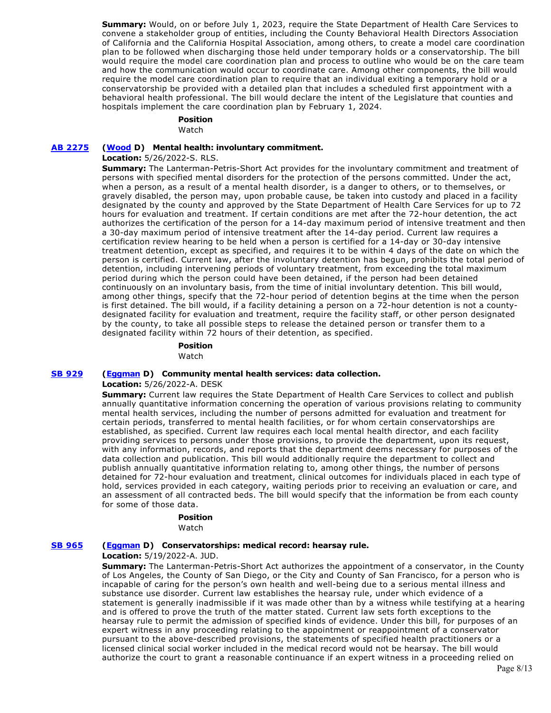**Summary:** Would, on or before July 1, 2023, require the State Department of Health Care Services to convene a stakeholder group of entities, including the County Behavioral Health Directors Association of California and the California Hospital Association, among others, to create a model care coordination plan to be followed when discharging those held under temporary holds or a conservatorship. The bill would require the model care coordination plan and process to outline who would be on the care team and how the communication would occur to coordinate care. Among other components, the bill would require the model care coordination plan to require that an individual exiting a temporary hold or a conservatorship be provided with a detailed plan that includes a scheduled first appointment with a behavioral health professional. The bill would declare the intent of the Legislature that counties and hospitals implement the care coordination plan by February 1, 2024.

### **Position**

Watch

### **[AB 2275](https://ctweb.capitoltrack.com/public/publishbillinfo.aspx?bi=6%2B4eC%2F2OHK4kZpkW4rQYXdsRhhq65kyQXKEeISRQgKwMRP5lhgytut8yJKWj%2Bb%2F%2B) [\(Wood](https://a02.asmdc.org/) D) Mental health: involuntary commitment.**

#### **Location:** 5/26/2022-S. RLS.

**Summary:** The Lanterman-Petris-Short Act provides for the involuntary commitment and treatment of persons with specified mental disorders for the protection of the persons committed. Under the act, when a person, as a result of a mental health disorder, is a danger to others, or to themselves, or gravely disabled, the person may, upon probable cause, be taken into custody and placed in a facility designated by the county and approved by the State Department of Health Care Services for up to 72 hours for evaluation and treatment. If certain conditions are met after the 72-hour detention, the act authorizes the certification of the person for a 14-day maximum period of intensive treatment and then a 30-day maximum period of intensive treatment after the 14-day period. Current law requires a certification review hearing to be held when a person is certified for a 14-day or 30-day intensive treatment detention, except as specified, and requires it to be within 4 days of the date on which the person is certified. Current law, after the involuntary detention has begun, prohibits the total period of detention, including intervening periods of voluntary treatment, from exceeding the total maximum period during which the person could have been detained, if the person had been detained continuously on an involuntary basis, from the time of initial involuntary detention. This bill would, among other things, specify that the 72-hour period of detention begins at the time when the person is first detained. The bill would, if a facility detaining a person on a 72-hour detention is not a countydesignated facility for evaluation and treatment, require the facility staff, or other person designated by the county, to take all possible steps to release the detained person or transfer them to a designated facility within 72 hours of their detention, as specified.

#### **Position**

Watch

### **[SB 929](https://ctweb.capitoltrack.com/public/publishbillinfo.aspx?bi=K1EgGJfTiuEq7osejnFiAvKE0cv5VAYh3Egp6x3ASrir6ID8%2BVA4DnZaIUHlfT%2Bp) [\(Eggman](http://sd05.senate.ca.gov/) D) Community mental health services: data collection.**

#### **Location:** 5/26/2022-A. DESK

**Summary:** Current law requires the State Department of Health Care Services to collect and publish annually quantitative information concerning the operation of various provisions relating to community mental health services, including the number of persons admitted for evaluation and treatment for certain periods, transferred to mental health facilities, or for whom certain conservatorships are established, as specified. Current law requires each local mental health director, and each facility providing services to persons under those provisions, to provide the department, upon its request, with any information, records, and reports that the department deems necessary for purposes of the data collection and publication. This bill would additionally require the department to collect and publish annually quantitative information relating to, among other things, the number of persons detained for 72-hour evaluation and treatment, clinical outcomes for individuals placed in each type of hold, services provided in each category, waiting periods prior to receiving an evaluation or care, and an assessment of all contracted beds. The bill would specify that the information be from each county for some of those data.

#### **Position**

Watch

#### **[SB 965](https://ctweb.capitoltrack.com/public/publishbillinfo.aspx?bi=EcBoEmtCkfUIgWFS60%2BT2jNFPGjQW4TEFSyUZPg5nHkbDrTBqIA0Hg4CBeChnTGO) [\(Eggman](http://sd05.senate.ca.gov/) D) Conservatorships: medical record: hearsay rule.**

**Location:** 5/19/2022-A. JUD.

**Summary:** The Lanterman-Petris-Short Act authorizes the appointment of a conservator, in the County of Los Angeles, the County of San Diego, or the City and County of San Francisco, for a person who is incapable of caring for the person's own health and well-being due to a serious mental illness and substance use disorder. Current law establishes the hearsay rule, under which evidence of a statement is generally inadmissible if it was made other than by a witness while testifying at a hearing and is offered to prove the truth of the matter stated. Current law sets forth exceptions to the hearsay rule to permit the admission of specified kinds of evidence. Under this bill, for purposes of an expert witness in any proceeding relating to the appointment or reappointment of a conservator pursuant to the above-described provisions, the statements of specified health practitioners or a licensed clinical social worker included in the medical record would not be hearsay. The bill would authorize the court to grant a reasonable continuance if an expert witness in a proceeding relied on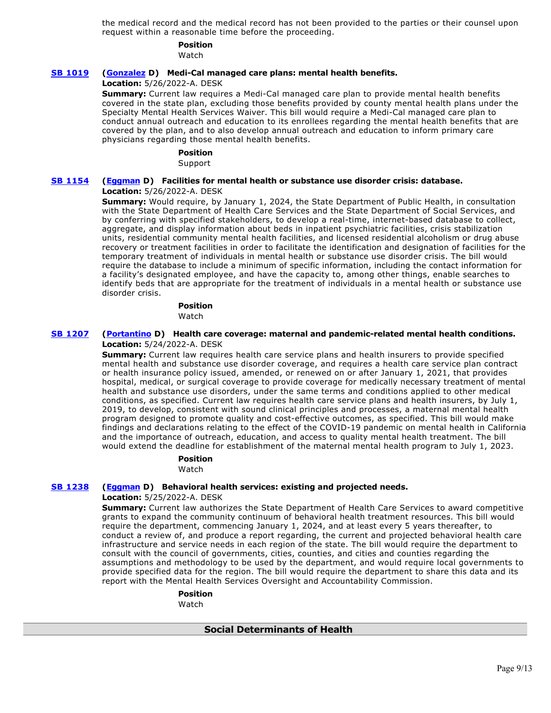the medical record and the medical record has not been provided to the parties or their counsel upon request within a reasonable time before the proceeding.

# **Position**

Watch

### **[SB 1019](https://ctweb.capitoltrack.com/public/publishbillinfo.aspx?bi=CB4uoxlx3KlgPDSkItME2Mct4%2BnWQivAzuUEA%2FGtJKGOZVg9zDoiwk%2FgdZsrbHgM) [\(Gonzalez](https://sd33.senate.ca.gov/) D) Medi-Cal managed care plans: mental health benefits.**

### **Location:** 5/26/2022-A. DESK

**Summary:** Current law requires a Medi-Cal managed care plan to provide mental health benefits covered in the state plan, excluding those benefits provided by county mental health plans under the Specialty Mental Health Services Waiver. This bill would require a Medi-Cal managed care plan to conduct annual outreach and education to its enrollees regarding the mental health benefits that are covered by the plan, and to also develop annual outreach and education to inform primary care physicians regarding those mental health benefits.

#### **Position**

Support

### **[SB 1154](https://ctweb.capitoltrack.com/public/publishbillinfo.aspx?bi=SIKAOyzcp9FkyXJhcMR9GR2Egtn5F2XPT8llha1sFjI3%2Bfiu9BuGN6dHSamI%2BSLc) [\(Eggman](http://sd05.senate.ca.gov/) D) Facilities for mental health or substance use disorder crisis: database. Location:** 5/26/2022-A. DESK

**Summary:** Would require, by January 1, 2024, the State Department of Public Health, in consultation with the State Department of Health Care Services and the State Department of Social Services, and by conferring with specified stakeholders, to develop a real-time, internet-based database to collect, aggregate, and display information about beds in inpatient psychiatric facilities, crisis stabilization units, residential community mental health facilities, and licensed residential alcoholism or drug abuse recovery or treatment facilities in order to facilitate the identification and designation of facilities for the temporary treatment of individuals in mental health or substance use disorder crisis. The bill would require the database to include a minimum of specific information, including the contact information for a facility's designated employee, and have the capacity to, among other things, enable searches to identify beds that are appropriate for the treatment of individuals in a mental health or substance use disorder crisis.

### **Position**

Watch

### **[SB 1207](https://ctweb.capitoltrack.com/public/publishbillinfo.aspx?bi=BfIx7qoFszHnGuBPvgrsCNlzVb%2FguaISm4gq8vZJ8vplHToKryThIU6CglO4oR8I) [\(Portantino](http://sd25.senate.ca.gov/) D) Health care coverage: maternal and pandemic-related mental health conditions. Location:** 5/24/2022-A. DESK

**Summary:** Current law requires health care service plans and health insurers to provide specified mental health and substance use disorder coverage, and requires a health care service plan contract or health insurance policy issued, amended, or renewed on or after January 1, 2021, that provides hospital, medical, or surgical coverage to provide coverage for medically necessary treatment of mental health and substance use disorders, under the same terms and conditions applied to other medical conditions, as specified. Current law requires health care service plans and health insurers, by July 1, 2019, to develop, consistent with sound clinical principles and processes, a maternal mental health program designed to promote quality and cost-effective outcomes, as specified. This bill would make findings and declarations relating to the effect of the COVID-19 pandemic on mental health in California and the importance of outreach, education, and access to quality mental health treatment. The bill would extend the deadline for establishment of the maternal mental health program to July 1, 2023.

### **Position**

#### Watch

### **[SB 1238](https://ctweb.capitoltrack.com/public/publishbillinfo.aspx?bi=OjZg0htuH1gY6vn7BX7VkAtMWvftGXa2GK50z6GXmrUtrSNlmId1%2BKxskLJFZ7oZ) [\(Eggman](http://sd05.senate.ca.gov/) D) Behavioral health services: existing and projected needs.**

#### **Location:** 5/25/2022-A. DESK

**Summary:** Current law authorizes the State Department of Health Care Services to award competitive grants to expand the community continuum of behavioral health treatment resources. This bill would require the department, commencing January 1, 2024, and at least every 5 years thereafter, to conduct a review of, and produce a report regarding, the current and projected behavioral health care infrastructure and service needs in each region of the state. The bill would require the department to consult with the council of governments, cities, counties, and cities and counties regarding the assumptions and methodology to be used by the department, and would require local governments to provide specified data for the region. The bill would require the department to share this data and its report with the Mental Health Services Oversight and Accountability Commission.

### **Position**

Watch

### **Social Determinants of Health**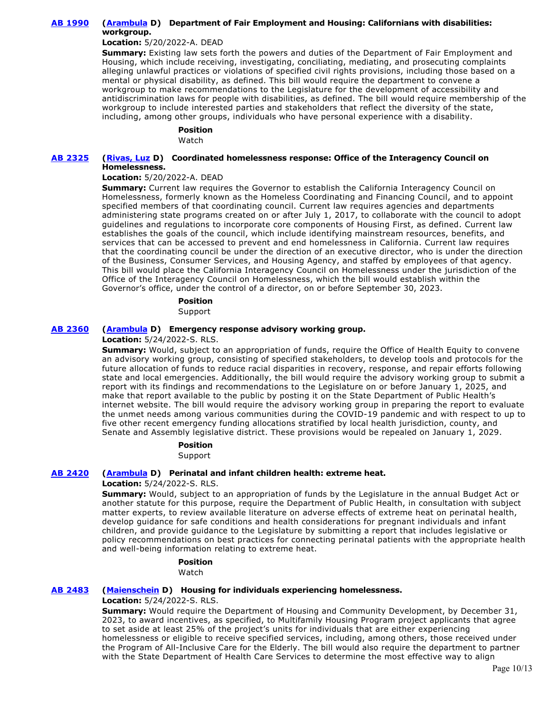### **[AB 1990](https://ctweb.capitoltrack.com/public/publishbillinfo.aspx?bi=yj9bY3m9DIhQHIRAyYA9MCUQhJJFoBJcqUtIgQ6jAR0ciLmv8w%2BI7yw92Fqj9EQq) [\(Arambula](https://a31.asmdc.org/) D) Department of Fair Employment and Housing: Californians with disabilities: workgroup.**

### **Location:** 5/20/2022-A. DEAD

**Summary:** Existing law sets forth the powers and duties of the Department of Fair Employment and Housing, which include receiving, investigating, conciliating, mediating, and prosecuting complaints alleging unlawful practices or violations of specified civil rights provisions, including those based on a mental or physical disability, as defined. This bill would require the department to convene a workgroup to make recommendations to the Legislature for the development of accessibility and antidiscrimination laws for people with disabilities, as defined. The bill would require membership of the workgroup to include interested parties and stakeholders that reflect the diversity of the state, including, among other groups, individuals who have personal experience with a disability.

## **Position**

Watch

### **[AB 2325](https://ctweb.capitoltrack.com/public/publishbillinfo.aspx?bi=a5evlwACzysVv6pvP%2FzjuKuSFgvQ0e7Y8G6Vaaz7r8kY70JSByZQQohGBKdnVn68) [\(Rivas, Luz](https://a39.asmdc.org/) D) Coordinated homelessness response: Office of the Interagency Council on Homelessness.**

### **Location:** 5/20/2022-A. DEAD

**Summary:** Current law requires the Governor to establish the California Interagency Council on Homelessness, formerly known as the Homeless Coordinating and Financing Council, and to appoint specified members of that coordinating council. Current law requires agencies and departments administering state programs created on or after July 1, 2017, to collaborate with the council to adopt guidelines and regulations to incorporate core components of Housing First, as defined. Current law establishes the goals of the council, which include identifying mainstream resources, benefits, and services that can be accessed to prevent and end homelessness in California. Current law requires that the coordinating council be under the direction of an executive director, who is under the direction of the Business, Consumer Services, and Housing Agency, and staffed by employees of that agency. This bill would place the California Interagency Council on Homelessness under the jurisdiction of the Office of the Interagency Council on Homelessness, which the bill would establish within the Governor's office, under the control of a director, on or before September 30, 2023.

#### **Position**

Support

### **[AB 2360](https://ctweb.capitoltrack.com/public/publishbillinfo.aspx?bi=S4o5WDo9%2B9AfENOBq%2BBIePxxgnNqMH86Fznz%2F0bytCshN%2BV4xg6B4KMdUbdPaY%2B9) [\(Arambula](https://a31.asmdc.org/) D) Emergency response advisory working group.**

### **Location:** 5/24/2022-S. RLS.

**Summary:** Would, subject to an appropriation of funds, require the Office of Health Equity to convene an advisory working group, consisting of specified stakeholders, to develop tools and protocols for the future allocation of funds to reduce racial disparities in recovery, response, and repair efforts following state and local emergencies. Additionally, the bill would require the advisory working group to submit a report with its findings and recommendations to the Legislature on or before January 1, 2025, and make that report available to the public by posting it on the State Department of Public Health's internet website. The bill would require the advisory working group in preparing the report to evaluate the unmet needs among various communities during the COVID-19 pandemic and with respect to up to five other recent emergency funding allocations stratified by local health jurisdiction, county, and Senate and Assembly legislative district. These provisions would be repealed on January 1, 2029.

**Position** 

### Support

### **[AB 2420](https://ctweb.capitoltrack.com/public/publishbillinfo.aspx?bi=oICQ%2FFgYItZLolaL2dRDXnfClKQLofva2wZPE9pvuqaKp6tjCi9Mk3wWwr3hpRlR) [\(Arambula](https://a31.asmdc.org/) D) Perinatal and infant children health: extreme heat.**

### **Location:** 5/24/2022-S. RLS.

**Summary:** Would, subject to an appropriation of funds by the Legislature in the annual Budget Act or another statute for this purpose, require the Department of Public Health, in consultation with subject matter experts, to review available literature on adverse effects of extreme heat on perinatal health, develop guidance for safe conditions and health considerations for pregnant individuals and infant children, and provide guidance to the Legislature by submitting a report that includes legislative or policy recommendations on best practices for connecting perinatal patients with the appropriate health and well-being information relating to extreme heat.

# **Position**

### Watch

### **[AB 2483](https://ctweb.capitoltrack.com/public/publishbillinfo.aspx?bi=D8ALISlvGWriTRFrh2c7xhf%2FvkYFV1T4CcvaFlaTPiwF%2Bwy2I%2FveD5vs1jcbsWSA) [\(Maienschein](https://a77.asmdc.org/) D) Housing for individuals experiencing homelessness.**

**Location:** 5/24/2022-S. RLS.

**Summary:** Would require the Department of Housing and Community Development, by December 31, 2023, to award incentives, as specified, to Multifamily Housing Program project applicants that agree to set aside at least 25% of the project's units for individuals that are either experiencing homelessness or eligible to receive specified services, including, among others, those received under the Program of All-Inclusive Care for the Elderly. The bill would also require the department to partner with the State Department of Health Care Services to determine the most effective way to align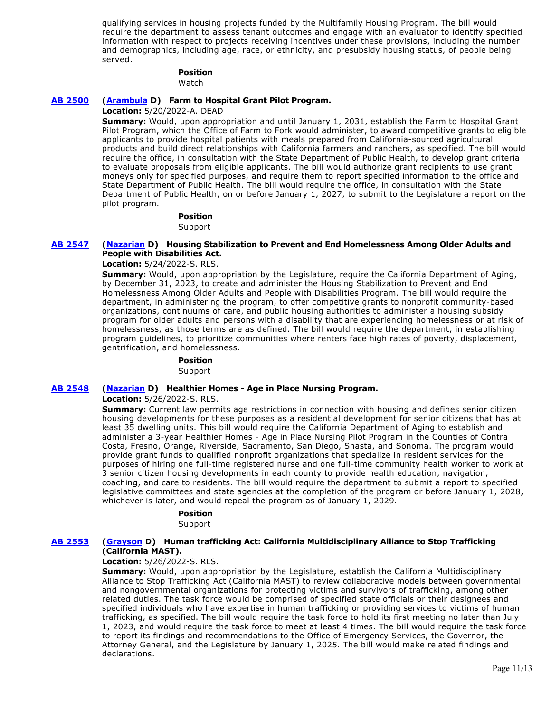qualifying services in housing projects funded by the Multifamily Housing Program. The bill would require the department to assess tenant outcomes and engage with an evaluator to identify specified information with respect to projects receiving incentives under these provisions, including the number and demographics, including age, race, or ethnicity, and presubsidy housing status, of people being served.

#### **Position**  Watch

### **[AB 2500](https://ctweb.capitoltrack.com/public/publishbillinfo.aspx?bi=R5th4x12sWd7IS0SDMQmVPoHGkSh2%2BzZqLevAUppNOk7FzvvGu%2B%2FiCTW3thUNuYz) [\(Arambula](https://a31.asmdc.org/) D) Farm to Hospital Grant Pilot Program.**

**Location:** 5/20/2022-A. DEAD

**Summary:** Would, upon appropriation and until January 1, 2031, establish the Farm to Hospital Grant Pilot Program, which the Office of Farm to Fork would administer, to award competitive grants to eligible applicants to provide hospital patients with meals prepared from California-sourced agricultural products and build direct relationships with California farmers and ranchers, as specified. The bill would require the office, in consultation with the State Department of Public Health, to develop grant criteria to evaluate proposals from eligible applicants. The bill would authorize grant recipients to use grant moneys only for specified purposes, and require them to report specified information to the office and State Department of Public Health. The bill would require the office, in consultation with the State Department of Public Health, on or before January 1, 2027, to submit to the Legislature a report on the pilot program.

### **Position**

Support

#### **[AB 2547](https://ctweb.capitoltrack.com/public/publishbillinfo.aspx?bi=%2BjqqYL0OiE%2FqHw9kLLjN53sVEgSzZEvrL%2ByB76wKjEDNYCApYjFKWscJ5Be%2B7Tb9) [\(Nazarian](https://a46.asmdc.org/) D) Housing Stabilization to Prevent and End Homelessness Among Older Adults and People with Disabilities Act.**

**Location:** 5/24/2022-S. RLS.

**Summary:** Would, upon appropriation by the Legislature, require the California Department of Aging, by December 31, 2023, to create and administer the Housing Stabilization to Prevent and End Homelessness Among Older Adults and People with Disabilities Program. The bill would require the department, in administering the program, to offer competitive grants to nonprofit community-based organizations, continuums of care, and public housing authorities to administer a housing subsidy program for older adults and persons with a disability that are experiencing homelessness or at risk of homelessness, as those terms are as defined. The bill would require the department, in establishing program guidelines, to prioritize communities where renters face high rates of poverty, displacement, gentrification, and homelessness.

#### **Position**

Support

#### **[AB 2548](https://ctweb.capitoltrack.com/public/publishbillinfo.aspx?bi=iMkIjM9XyZD32%2Fj6x%2BOY1WYrdSxHgUdGs5rif9yCx5R0v8NV34fz4PwFaHvRMvsx) [\(Nazarian](https://a46.asmdc.org/) D) Healthier Homes - Age in Place Nursing Program.**

**Location:** 5/26/2022-S. RLS.

**Summary:** Current law permits age restrictions in connection with housing and defines senior citizen housing developments for these purposes as a residential development for senior citizens that has at least 35 dwelling units. This bill would require the California Department of Aging to establish and administer a 3-year Healthier Homes - Age in Place Nursing Pilot Program in the Counties of Contra Costa, Fresno, Orange, Riverside, Sacramento, San Diego, Shasta, and Sonoma. The program would provide grant funds to qualified nonprofit organizations that specialize in resident services for the purposes of hiring one full-time registered nurse and one full-time community health worker to work at 3 senior citizen housing developments in each county to provide health education, navigation, coaching, and care to residents. The bill would require the department to submit a report to specified legislative committees and state agencies at the completion of the program or before January 1, 2028, whichever is later, and would repeal the program as of January 1, 2029.

### **Position**

Support

#### **[AB 2553](https://ctweb.capitoltrack.com/public/publishbillinfo.aspx?bi=JmcoXzoeJiXFLcZch5yigde%2Bcyy4elaRAQx8ZwBkxckV2qJ3VW3vVbh7hYI6INbe) [\(Grayson](https://a14.asmdc.org/) D) Human trafficking Act: California Multidisciplinary Alliance to Stop Trafficking (California MAST).**

#### **Location:** 5/26/2022-S. RLS.

**Summary:** Would, upon appropriation by the Legislature, establish the California Multidisciplinary Alliance to Stop Trafficking Act (California MAST) to review collaborative models between governmental and nongovernmental organizations for protecting victims and survivors of trafficking, among other related duties. The task force would be comprised of specified state officials or their designees and specified individuals who have expertise in human trafficking or providing services to victims of human trafficking, as specified. The bill would require the task force to hold its first meeting no later than July 1, 2023, and would require the task force to meet at least 4 times. The bill would require the task force to report its findings and recommendations to the Office of Emergency Services, the Governor, the Attorney General, and the Legislature by January 1, 2025. The bill would make related findings and declarations.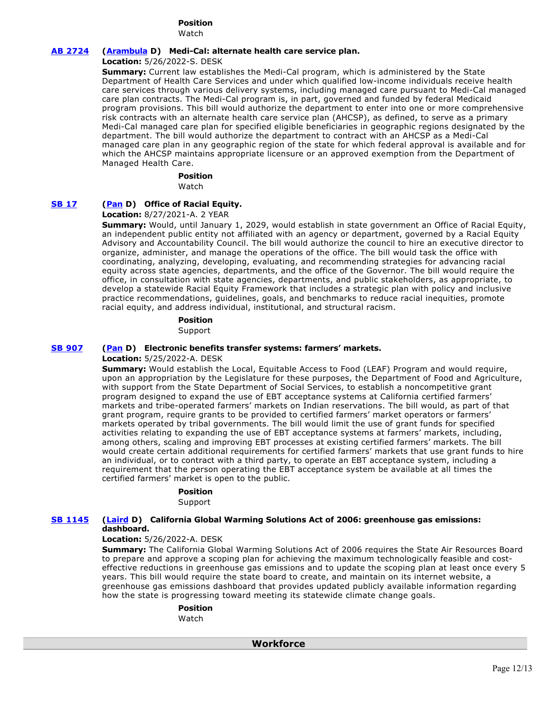# **Position**

Watch

# **[AB 2724](https://ctweb.capitoltrack.com/public/publishbillinfo.aspx?bi=87zZT%2BgcOhFNBkX00iCCDlRJesDpMdThi05DVxph1WMjt4wiQHTVchVtgdOI00s5) [\(Arambula](https://a31.asmdc.org/) D) Medi-Cal: alternate health care service plan.**

**Location:** 5/26/2022-S. DESK

**Summary:** Current law establishes the Medi-Cal program, which is administered by the State Department of Health Care Services and under which qualified low-income individuals receive health care services through various delivery systems, including managed care pursuant to Medi-Cal managed care plan contracts. The Medi-Cal program is, in part, governed and funded by federal Medicaid program provisions. This bill would authorize the department to enter into one or more comprehensive risk contracts with an alternate health care service plan (AHCSP), as defined, to serve as a primary Medi-Cal managed care plan for specified eligible beneficiaries in geographic regions designated by the department. The bill would authorize the department to contract with an AHCSP as a Medi-Cal managed care plan in any geographic region of the state for which federal approval is available and for which the AHCSP maintains appropriate licensure or an approved exemption from the Department of Managed Health Care.

### **Position**

Watch

### **[SB 17](https://ctweb.capitoltrack.com/public/publishbillinfo.aspx?bi=dBaE3CGJpiGexGpCGI9ZA9mGDSu3R3h8gdgNi5yyapMHbWZPikU1e7jTWnNDjpL9) [\(Pan](http://sd06.senate.ca.gov/) D) Office of Racial Equity.**

**Location:** 8/27/2021-A. 2 YEAR

**Summary:** Would, until January 1, 2029, would establish in state government an Office of Racial Equity, an independent public entity not affiliated with an agency or department, governed by a Racial Equity Advisory and Accountability Council. The bill would authorize the council to hire an executive director to organize, administer, and manage the operations of the office. The bill would task the office with coordinating, analyzing, developing, evaluating, and recommending strategies for advancing racial equity across state agencies, departments, and the office of the Governor. The bill would require the office, in consultation with state agencies, departments, and public stakeholders, as appropriate, to develop a statewide Racial Equity Framework that includes a strategic plan with policy and inclusive practice recommendations, guidelines, goals, and benchmarks to reduce racial inequities, promote racial equity, and address individual, institutional, and structural racism.

### **Position**

Support

### **[SB 907](https://ctweb.capitoltrack.com/public/publishbillinfo.aspx?bi=nIx6X2crzmFr0TWxcYW%2B9kpY%2B5Vcf%2FQzpoT2zOu%2Bk6kh9IF0klsUId4YkFjXzovS) [\(Pan](http://sd06.senate.ca.gov/) D) Electronic benefits transfer systems: farmers' markets.**

**Location:** 5/25/2022-A. DESK

**Summary:** Would establish the Local, Equitable Access to Food (LEAF) Program and would require, upon an appropriation by the Legislature for these purposes, the Department of Food and Agriculture, with support from the State Department of Social Services, to establish a noncompetitive grant program designed to expand the use of EBT acceptance systems at California certified farmers' markets and tribe-operated farmers' markets on Indian reservations. The bill would, as part of that grant program, require grants to be provided to certified farmers' market operators or farmers' markets operated by tribal governments. The bill would limit the use of grant funds for specified activities relating to expanding the use of EBT acceptance systems at farmers' markets, including, among others, scaling and improving EBT processes at existing certified farmers' markets. The bill would create certain additional requirements for certified farmers' markets that use grant funds to hire an individual, or to contract with a third party, to operate an EBT acceptance system, including a requirement that the person operating the EBT acceptance system be available at all times the certified farmers' market is open to the public.

### **Position**

Support

#### **[SB 1145](https://ctweb.capitoltrack.com/public/publishbillinfo.aspx?bi=5bzl2laO8eaLVynAoipXd6DEb1R0i1ymTfYAOJFquQIUeXqH2qj4JDhx%2FCtjeci1) [\(Laird](http://sd17.senate.ca.gov/) D) California Global Warming Solutions Act of 2006: greenhouse gas emissions: dashboard.**

#### **Location:** 5/26/2022-A. DESK

**Summary:** The California Global Warming Solutions Act of 2006 requires the State Air Resources Board to prepare and approve a scoping plan for achieving the maximum technologically feasible and costeffective reductions in greenhouse gas emissions and to update the scoping plan at least once every 5 years. This bill would require the state board to create, and maintain on its internet website, a greenhouse gas emissions dashboard that provides updated publicly available information regarding how the state is progressing toward meeting its statewide climate change goals.

#### **Position**  Watch

 **Workforce**